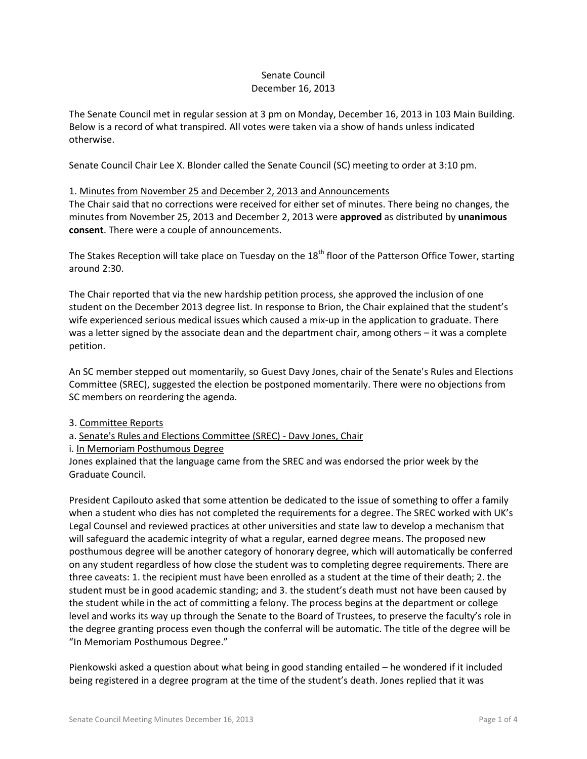## Senate Council December 16, 2013

The Senate Council met in regular session at 3 pm on Monday, December 16, 2013 in 103 Main Building. Below is a record of what transpired. All votes were taken via a show of hands unless indicated otherwise.

Senate Council Chair Lee X. Blonder called the Senate Council (SC) meeting to order at 3:10 pm.

#### 1. Minutes from November 25 and December 2, 2013 and Announcements

The Chair said that no corrections were received for either set of minutes. There being no changes, the minutes from November 25, 2013 and December 2, 2013 were **approved** as distributed by **unanimous consent**. There were a couple of announcements.

The Stakes Reception will take place on Tuesday on the 18<sup>th</sup> floor of the Patterson Office Tower, starting around 2:30.

The Chair reported that via the new hardship petition process, she approved the inclusion of one student on the December 2013 degree list. In response to Brion, the Chair explained that the student's wife experienced serious medical issues which caused a mix-up in the application to graduate. There was a letter signed by the associate dean and the department chair, among others – it was a complete petition.

An SC member stepped out momentarily, so Guest Davy Jones, chair of the Senate's Rules and Elections Committee (SREC), suggested the election be postponed momentarily. There were no objections from SC members on reordering the agenda.

#### 3. Committee Reports

- a. Senate's Rules and Elections Committee (SREC) Davy Jones, Chair
- i. In Memoriam Posthumous Degree

Jones explained that the language came from the SREC and was endorsed the prior week by the Graduate Council.

President Capilouto asked that some attention be dedicated to the issue of something to offer a family when a student who dies has not completed the requirements for a degree. The SREC worked with UK's Legal Counsel and reviewed practices at other universities and state law to develop a mechanism that will safeguard the academic integrity of what a regular, earned degree means. The proposed new posthumous degree will be another category of honorary degree, which will automatically be conferred on any student regardless of how close the student was to completing degree requirements. There are three caveats: 1. the recipient must have been enrolled as a student at the time of their death; 2. the student must be in good academic standing; and 3. the student's death must not have been caused by the student while in the act of committing a felony. The process begins at the department or college level and works its way up through the Senate to the Board of Trustees, to preserve the faculty's role in the degree granting process even though the conferral will be automatic. The title of the degree will be "In Memoriam Posthumous Degree."

Pienkowski asked a question about what being in good standing entailed – he wondered if it included being registered in a degree program at the time of the student's death. Jones replied that it was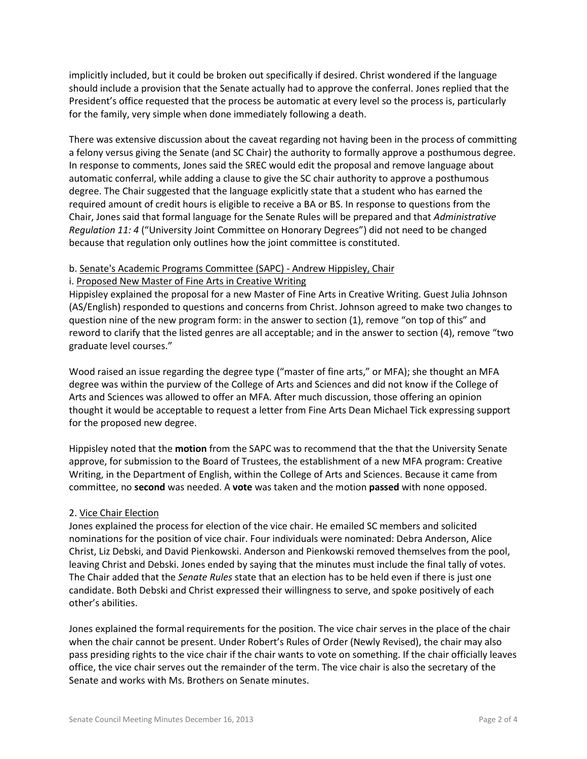implicitly included, but it could be broken out specifically if desired. Christ wondered if the language should include a provision that the Senate actually had to approve the conferral. Jones replied that the President's office requested that the process be automatic at every level so the process is, particularly for the family, very simple when done immediately following a death.

There was extensive discussion about the caveat regarding not having been in the process of committing a felony versus giving the Senate (and SC Chair) the authority to formally approve a posthumous degree. In response to comments, Jones said the SREC would edit the proposal and remove language about automatic conferral, while adding a clause to give the SC chair authority to approve a posthumous degree. The Chair suggested that the language explicitly state that a student who has earned the required amount of credit hours is eligible to receive a BA or BS. In response to questions from the Chair, Jones said that formal language for the Senate Rules will be prepared and that *Administrative Regulation 11: 4* ("University Joint Committee on Honorary Degrees") did not need to be changed because that regulation only outlines how the joint committee is constituted.

# b. Senate's Academic Programs Committee (SAPC) - Andrew Hippisley, Chair

#### i. Proposed New Master of Fine Arts in Creative Writing

Hippisley explained the proposal for a new Master of Fine Arts in Creative Writing. Guest Julia Johnson (AS/English) responded to questions and concerns from Christ. Johnson agreed to make two changes to question nine of the new program form: in the answer to section (1), remove "on top of this" and reword to clarify that the listed genres are all acceptable; and in the answer to section (4), remove "two graduate level courses."

Wood raised an issue regarding the degree type ("master of fine arts," or MFA); she thought an MFA degree was within the purview of the College of Arts and Sciences and did not know if the College of Arts and Sciences was allowed to offer an MFA. After much discussion, those offering an opinion thought it would be acceptable to request a letter from Fine Arts Dean Michael Tick expressing support for the proposed new degree.

Hippisley noted that the **motion** from the SAPC was to recommend that the that the University Senate approve, for submission to the Board of Trustees, the establishment of a new MFA program: Creative Writing, in the Department of English, within the College of Arts and Sciences. Because it came from committee, no **second** was needed. A **vote** was taken and the motion **passed** with none opposed.

## 2. Vice Chair Election

Jones explained the process for election of the vice chair. He emailed SC members and solicited nominations for the position of vice chair. Four individuals were nominated: Debra Anderson, Alice Christ, Liz Debski, and David Pienkowski. Anderson and Pienkowski removed themselves from the pool, leaving Christ and Debski. Jones ended by saying that the minutes must include the final tally of votes. The Chair added that the *Senate Rules* state that an election has to be held even if there is just one candidate. Both Debski and Christ expressed their willingness to serve, and spoke positively of each other's abilities.

Jones explained the formal requirements for the position. The vice chair serves in the place of the chair when the chair cannot be present. Under Robert's Rules of Order (Newly Revised), the chair may also pass presiding rights to the vice chair if the chair wants to vote on something. If the chair officially leaves office, the vice chair serves out the remainder of the term. The vice chair is also the secretary of the Senate and works with Ms. Brothers on Senate minutes.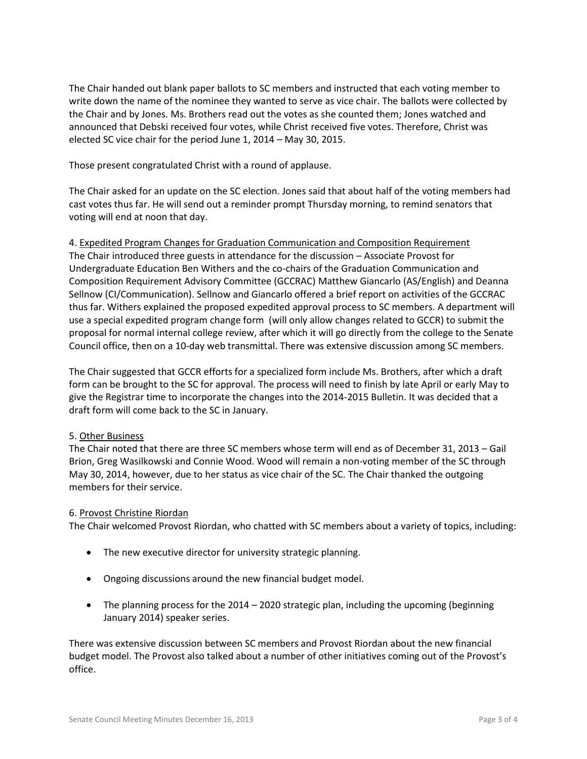The Chair handed out blank paper ballots to SC members and instructed that each voting member to write down the name of the nominee they wanted to serve as vice chair. The ballots were collected by the Chair and by Jones. Ms. Brothers read out the votes as she counted them; Jones watched and announced that Debski received four votes, while Christ received five votes. Therefore, Christ was elected SC vice chair for the period June 1, 2014 – May 30, 2015.

Those present congratulated Christ with a round of applause.

The Chair asked for an update on the SC election. Jones said that about half of the voting members had cast votes thus far. He will send out a reminder prompt Thursday morning, to remind senators that voting will end at noon that day.

# 4. Expedited Program Changes for Graduation Communication and Composition Requirement

The Chair introduced three guests in attendance for the discussion – Associate Provost for Undergraduate Education Ben Withers and the co-chairs of the Graduation Communication and Composition Requirement Advisory Committee (GCCRAC) Matthew Giancarlo (AS/English) and Deanna Sellnow (CI/Communication). Sellnow and Giancarlo offered a brief report on activities of the GCCRAC thus far. Withers explained the proposed expedited approval process to SC members. A department will use a special expedited program change form (will only allow changes related to GCCR) to submit the proposal for normal internal college review, after which it will go directly from the college to the Senate Council office, then on a 10-day web transmittal. There was extensive discussion among SC members.

The Chair suggested that GCCR efforts for a specialized form include Ms. Brothers, after which a draft form can be brought to the SC for approval. The process will need to finish by late April or early May to give the Registrar time to incorporate the changes into the 2014-2015 Bulletin. It was decided that a draft form will come back to the SC in January.

## 5. Other Business

The Chair noted that there are three SC members whose term will end as of December 31, 2013 – Gail Brion, Greg Wasilkowski and Connie Wood. Wood will remain a non-voting member of the SC through May 30, 2014, however, due to her status as vice chair of the SC. The Chair thanked the outgoing members for their service.

#### 6. Provost Christine Riordan

The Chair welcomed Provost Riordan, who chatted with SC members about a variety of topics, including:

- The new executive director for university strategic planning.
- Ongoing discussions around the new financial budget model.
- The planning process for the 2014 2020 strategic plan, including the upcoming (beginning January 2014) speaker series.

There was extensive discussion between SC members and Provost Riordan about the new financial budget model. The Provost also talked about a number of other initiatives coming out of the Provost's office.